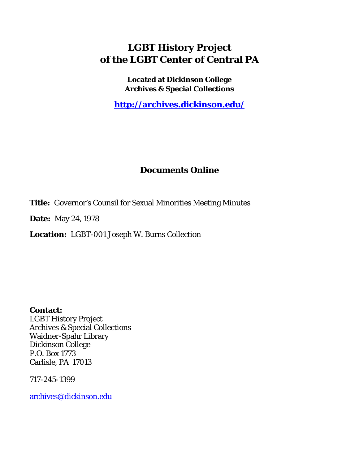### **LGBT History Project of the LGBT Center of Central PA**

**Located at Dickinson College Archives & Special Collections**

**<http://archives.dickinson.edu/>**

### **Documents Online**

**Title:** Governor's Counsil for Sexual Minorities Meeting Minutes

**Date:** May 24, 1978

**Location:** LGBT-001 Joseph W. Burns Collection

**Contact:**  LGBT History Project Archives & Special Collections Waidner-Spahr Library Dickinson College P.O. Box 1773 Carlisle, PA 17013

717-245-1399

[archives@dickinson.edu](mailto:archives@dickinson.edu)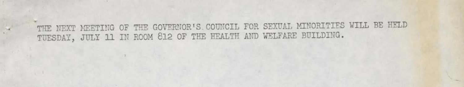THE NEXT MEETING OF THE GOVERNOR'S. COUNCIL FOR SEXUAL MINORITIES WILL BE HELD TUESDAY, JULY 11 IN ROOM 812 OF THE HEALTH AND WELFARE BUILDING.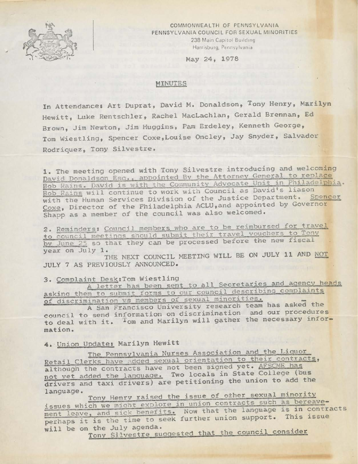

COMMONWEALTH OF PENNSYLVANIA PENNSYLVANIA COUNCIL FOR SEXUAL MINORITIES 238 Main Capitol Building Harrisburg, Pennsylvania

May 24, 1978

#### MINUTES

In Attendance: Art Duprat, David M. Donaldson, Tony Henry, Marilyn Hewitt, Luke Rentschler, Rachel MacLachlan, Gerald Brennan, Ed Brown, Jim Newton, Jim Huggins, Pam Erdeley, Kenneth George, Tom Wiestling, Spencer Coxe,Louise Oncley, Jay Snyder, Salvador Rodriquez, Tony Silvestre.

1. The meeting opened with Tony Silvestre introducing and welcoming David Donaldson Esq., appointed By the Attorney General to replace Bob Rains. David is with the Community Advocate Unit in Philadelphia. Bob Rains will continue to work with Council as David's liason with the Human Services Division of the Justice Department. Spencer Coxe. Director of the Philadelphia ACLU,and appointed by Governor Shapp as a member of the council was also welcomed.

2. Reminders: Council members who are to be reimbursed for travel to council meetings should submit their travel vouchers to Tony by June 25 so that they can be processed before the new fiscal<br>year on July 1.

THE NEXT COUNCIL MEETING WILL BE ON JULY 11 AND NOT JULY 7 AS PREVIOUSLY ANNOUNCED.

3. Complaint Desk: Tom Wiestling<br>
A letter has been sent to all Secretaries and agency heads asking them to submit forms to our council describing complaints 3. Complaint Desk: Tom Wiestling<br>
A letter has been sent to all Secretaries and agency he<br>
asking them to submit forms to our council describing complaints<br>
of discrimination vs members of sexual minorities.<br>
A San Francis of discrimination vs members of sexual minorities.

A San Francisco University research team has asked the to deal with it. Iom and Marilyn will gather the necessary information .

4. Union Update: Marilyn Hewitt

The Pennsylvania Nurses Association and the Liquor Retail Clerks have added sexual orientation to their contracts, although the contracts have not been signed yet. AFSCME has not yet added the language. Two locals in State College (bus drivers and taxi drivers) are petitioning the union to add the language.<br>Tony Henry raised the issue of other sexual minority

issues which we might explore in union contracts such as bereave-<br>ment leave, and sick benefits. Now that the language is in contracts ment leave, and sick benefits. Now that the language is in contra<br>perhaps it is the time to seek further union support. This issue<br>will be on the July agenda.<br>Tony Silvestre suggested that the council consider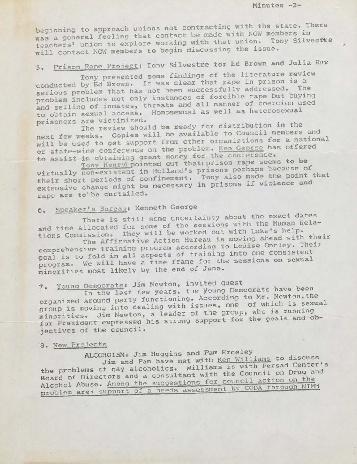Minutes -2-

# 5. Prison Rape Project: Tony Silvestre for Ed Brown and Julia Rux

Tony presented some findings of the literature review Tony presented some findings of the fiterature fevi-<br>conducted by Ed Brown. It was clear that gape in prison is a serious problem that has not been successfully addressed. The problem includes not only instances of forcible rape but buying and selling of inmates, threats and all manner of coercion used and selling of inmates, threats and directions. to optain sexual access. Homoscadar de north prisoners are victimized.

prisoners are victimized.<br>The review should be ready for distribution in the will be used to get support from other organiztions for a national will be used to get support from other organization as offered<br>or state-wide conference on the problem. Ken. George has offered to assist in obtaining grant money for the conference. in obtaining grant money for the conference.<br>Tony Henry pointed out that: prison rape seems to be Lew should be ready for distribution<br>Copies will be available to Council members and ew weeks. Copies will be available to council members and<br>e used to get support from other organizions for a national<br>te-wide conference on the problem. <u>Ken George</u> has offered<br>ist in obtaining grant money for the confere

Tony Henry pointed out that prison rape seems to<br>virtually non-existent in Holland's prisons perhaps because of virtually non-existent in Holland's prisons perhaps because of<br>their short periods of confinement. Tony also made the point that<br>extensive change might be necessary in prisons if violence and extensive change might be necessary in prisons if violence and rape are to be curtailed.

### 6. Speaker's Bureau: Kenneth George

There is still some uncertainty about the exact dates and time allocated for some of the sessions with the Human Relations Commission. They will be worked out with Luke's help. The Affirmative Action Bureau is moving ahead with their

comprehensive training program according to Louise Oncley. Their goal is to fold in all aspects of training into one consistent program. We will have a time frame for the sessions on sexual minorities most likely by the end of June.

## 7. Younq Democrats: Jim Newton, invited guest

In the last few years, the young Democrats have been organized around party functioning. According to Mr. Newton, the group is moving into dealing with issues, one of which is sexual minorities. Jim Newton, a leader of the group, who is running for President expressed his strong support for the goals and objectives of the council.

#### 8. New Projects

### ALCOHOISM: Jim Huggins and Pam Erdeley

Jim and Pam have met with Ken Williams to discuss the problems of gay alcoholics. Williams is with Persad Center's Board of Directors and a consultant with the Council on Drug and Alcohol Abuse. Among the suggestions for council action on the problem are: support of a needs assessment by CODA through NIMH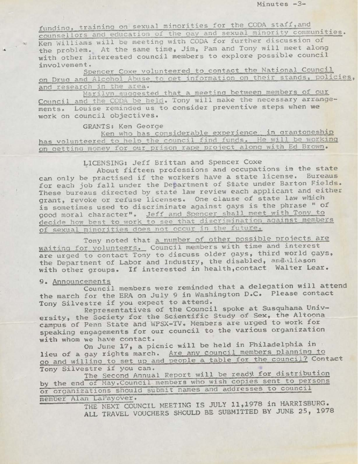funding, training on sexual minorities for the CODA staff, and counsellors and education of the gay and sexual minority communities. Ken Williams will be meeting with CODA for further discussion of the problem. At the same time, Jim, Pam and Tony will meet along with other interested council members to explore possible council involvement.

Spencer Coxe volunteered to contact the National Council on Drug and Alcohol Abuse to get information on their stands, policies,

Marilyn suggested that a meeting between members of our Council and the CODA be held. Tony will make the necessary arrangements. Louise reminded us to consider preventive steps when we work on council objectives.

GRANTS: Ken George

Ken who has considerable experience in grantoneship has volunteered to help the council find funds. He will be working on getting money for our prison rape project along with Ed Brown.

LICENSING: Jeff Brittan and Spencer Coxe

About fifteen professions and occupations in the state can only be practised if the workers have a state license. Bureaus for each job fall under the Department of State under Barton Fields. These bureaus directed by state law review each applicant and either grant, revoke or refuse licenses. One clause of state law which is sometimes used to discriminate against gays is the phrase " of good moral character". Jeff and Spencer shall meet with Tony to decide how best to work to see that discrimination against members of sexual minorities does not occur in the future.

Tony noted that a number of other possible projects are waiting for volunteers. Council members with time and interest are urged to contact Tony to discuss older gays, third world gays, the Department of Labor and Industry, the disabled, and liason with other groups. If interested in health,contact Walter Lear.

9. Announcements<br>Council members were reminded that a delegation will attend the march for the ERA on July <sup>9</sup> in Washington D.C. Please contact Tony Silvestre if you expect to attend.

Representatives of the Council spoke at Susquhana University, the Society for the Scientific Study of Sex, the Altoona campus of Penn State and WPSX-TV. Members are urged to work for campus of Penn State and WPSX-TV. Members are urged to work for<br>speaking engagements for our council to the various organization<br>with whom we have contact.<br>On June 17, a picnic will be held in Philadelphia in

with whom we have contact.<br>On June 17, a picnic will be held in Philadelphia in lieu of a gay rights march. Are any council members planning to go and willing to set up and people a table for the council? Contact oo and willing to set up and people a table for the cost<br>Tony Silvestre if you can. Tony Silvestre if you can.<br>The Second Annual Report will be ready for distribution

by the end of May. Council members who wish copies sent to persons or orgamzations should submit names and addresses to council member Alan LaPayover.

THE NEXT COUNCIL MEETING IS JULY 11,1978 in HARRISBURG. ALL TRAVEL VOUCHERS SHOULD BE SUBMITTED BY JUNE 25, 1978